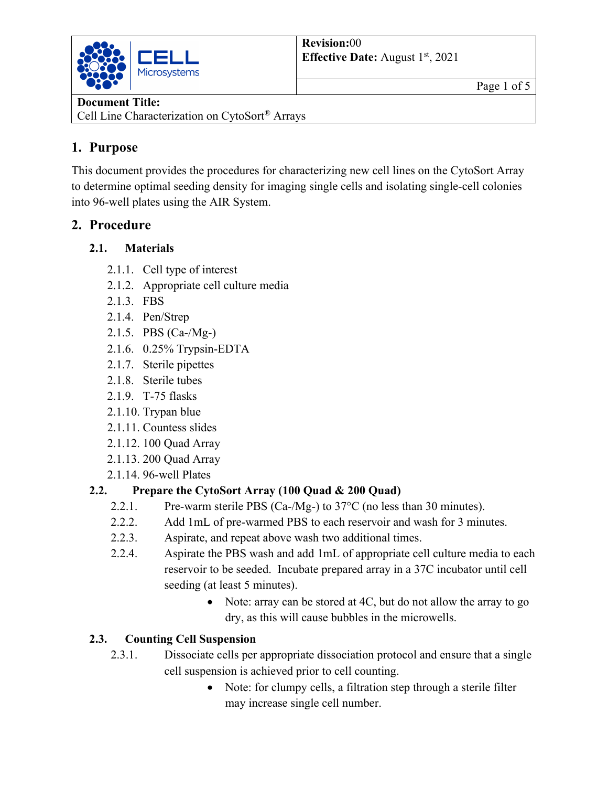

#### **Document Title:**

Cell Line Characterization on CytoSort® Arrays

# **1. Purpose**

This document provides the procedures for characterizing new cell lines on the CytoSort Array to determine optimal seeding density for imaging single cells and isolating single-cell colonies into 96-well plates using the AIR System.

# **2. Procedure**

## **2.1. Materials**

- 2.1.1. Cell type of interest
- 2.1.2. Appropriate cell culture media
- 2.1.3. FBS
- 2.1.4. Pen/Strep
- 2.1.5. PBS (Ca-/Mg-)
- 2.1.6. 0.25% Trypsin-EDTA
- 2.1.7. Sterile pipettes
- 2.1.8. Sterile tubes
- 2.1.9. T-75 flasks
- 2.1.10. Trypan blue
- 2.1.11. Countess slides
- 2.1.12. 100 Quad Array
- 2.1.13. 200 Quad Array
- 2.1.14. 96-well Plates

## **2.2. Prepare the CytoSort Array (100 Quad & 200 Quad)**

- 2.2.1. Pre-warm sterile PBS (Ca-/Mg-) to 37°C (no less than 30 minutes).
- 2.2.2. Add 1mL of pre-warmed PBS to each reservoir and wash for 3 minutes.
- 2.2.3. Aspirate, and repeat above wash two additional times.
- 2.2.4. Aspirate the PBS wash and add 1mL of appropriate cell culture media to each reservoir to be seeded. Incubate prepared array in a 37C incubator until cell seeding (at least 5 minutes).
	- Note: array can be stored at 4C, but do not allow the array to go dry, as this will cause bubbles in the microwells.

## **2.3. Counting Cell Suspension**

- 2.3.1. Dissociate cells per appropriate dissociation protocol and ensure that a single cell suspension is achieved prior to cell counting.
	- Note: for clumpy cells, a filtration step through a sterile filter may increase single cell number.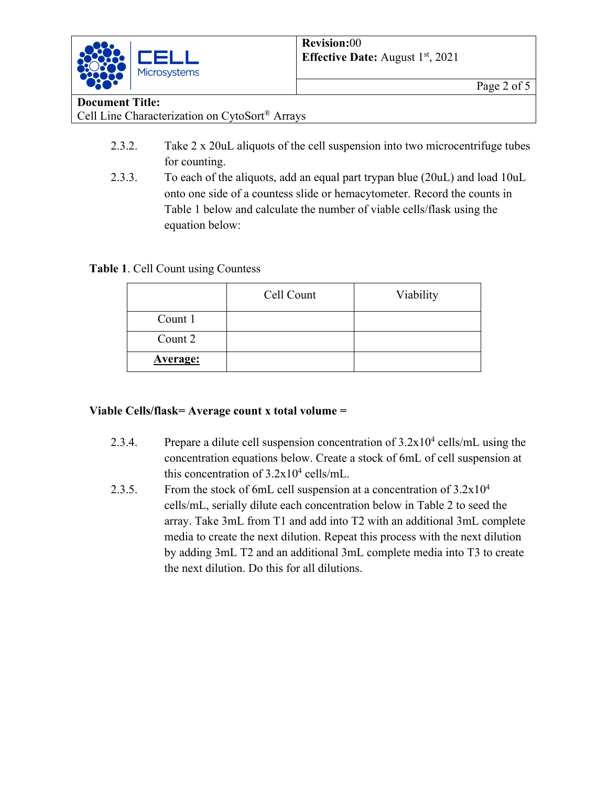

#### **Document Title:**

Cell Line Characterization on CytoSort® Arrays

- 2.3.2. Take 2 x 20uL aliquots of the cell suspension into two microcentrifuge tubes for counting.
- 2.3.3. To each of the aliquots, add an equal part trypan blue (20uL) and load 10uL onto one side of a countess slide or hemacytometer. Record the counts in Table 1 below and calculate the number of viable cells/flask using the equation below:

**Table 1**. Cell Count using Countess

|                 | Cell Count | Viability |
|-----------------|------------|-----------|
| Count 1         |            |           |
| Count 2         |            |           |
| <b>Average:</b> |            |           |

#### **Viable Cells/flask= Average count x total volume =**

- 2.3.4. Prepare a dilute cell suspension concentration of  $3.2 \times 10^4$  cells/mL using the concentration equations below. Create a stock of 6mL of cell suspension at this concentration of  $3.2x10^4$  cells/mL.
- 2.3.5. From the stock of 6mL cell suspension at a concentration of  $3.2 \times 10^4$ cells/mL, serially dilute each concentration below in Table 2 to seed the array. Take 3mL from T1 and add into T2 with an additional 3mL complete media to create the next dilution. Repeat this process with the next dilution by adding 3mL T2 and an additional 3mL complete media into T3 to create the next dilution. Do this for all dilutions.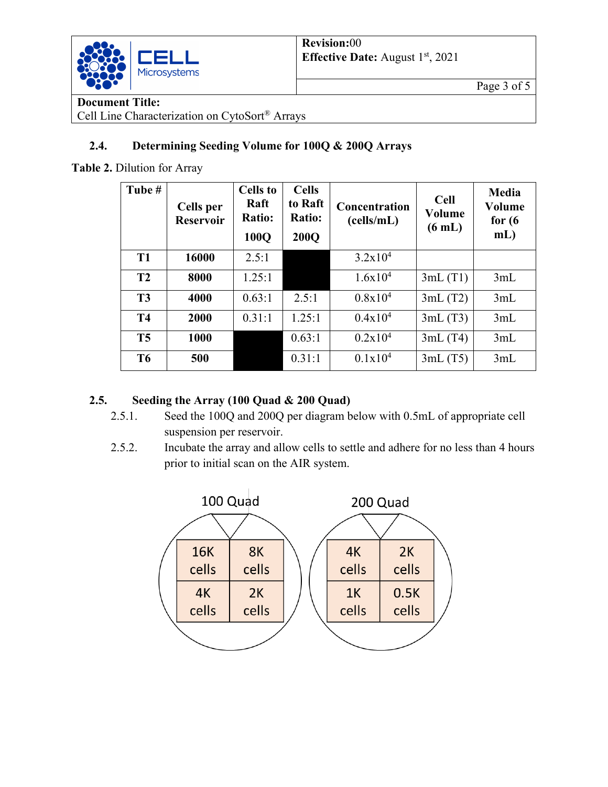

Page 3 of 5

# **Document Title:**

Cell Line Characterization on CytoSort® Arrays

## **2.4. Determining Seeding Volume for 100Q & 200Q Arrays**

**Table 2.** Dilution for Array

| Tube #         | Cells per<br><b>Reservoir</b> | Cells to<br>Raft<br><b>Ratio:</b><br>100Q | <b>Cells</b><br>to Raft<br><b>Ratio:</b><br><b>200Q</b> | Concentration<br>(cells/mL) | <b>Cell</b><br>Volume<br>$(6 \text{ mL})$ | <b>Media</b><br>Volume<br>for $(6)$<br>$mL$ ) |
|----------------|-------------------------------|-------------------------------------------|---------------------------------------------------------|-----------------------------|-------------------------------------------|-----------------------------------------------|
| <b>T1</b>      | 16000                         | 2.5:1                                     |                                                         | 3.2x10 <sup>4</sup>         |                                           |                                               |
| T <sub>2</sub> | 8000                          | 1.25:1                                    |                                                         | $1.6x10^{4}$                | 3mL(T1)                                   | 3mL                                           |
| T <sub>3</sub> | 4000                          | 0.63:1                                    | 2.5:1                                                   | $0.8x10^4$                  | 3mL(T2)                                   | 3mL                                           |
| <b>T4</b>      | 2000                          | 0.31:1                                    | 1.25:1                                                  | $0.4x10^4$                  | 3mL(T3)                                   | 3mL                                           |
| T <sub>5</sub> | 1000                          |                                           | 0.63:1                                                  | $0.2x10^4$                  | 3mL(T4)                                   | 3mL                                           |
| T <sub>6</sub> | 500                           |                                           | 0.31:1                                                  | $0.1x10^4$                  | 3mL(T5)                                   | 3mL                                           |

## **2.5. Seeding the Array (100 Quad & 200 Quad)**

- 2.5.1. Seed the 100Q and 200Q per diagram below with 0.5mL of appropriate cell suspension per reservoir.
- 2.5.2. Incubate the array and allow cells to settle and adhere for no less than 4 hours prior to initial scan on the AIR system.

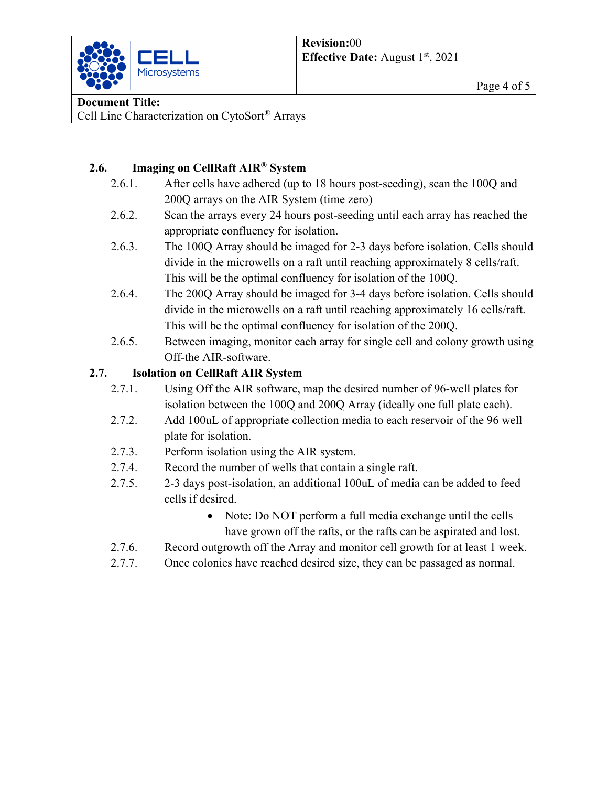

### **Document Title:**

Cell Line Characterization on CytoSort® Arrays

### **2.6. Imaging on CellRaft AIR® System**

- 2.6.1. After cells have adhered (up to 18 hours post-seeding), scan the 100Q and 200Q arrays on the AIR System (time zero)
- 2.6.2. Scan the arrays every 24 hours post-seeding until each array has reached the appropriate confluency for isolation.
- 2.6.3. The 100Q Array should be imaged for 2-3 days before isolation. Cells should divide in the microwells on a raft until reaching approximately 8 cells/raft. This will be the optimal confluency for isolation of the 100Q.
- 2.6.4. The 200Q Array should be imaged for 3-4 days before isolation. Cells should divide in the microwells on a raft until reaching approximately 16 cells/raft. This will be the optimal confluency for isolation of the 200Q.
- 2.6.5. Between imaging, monitor each array for single cell and colony growth using Off-the AIR-software.

### **2.7. Isolation on CellRaft AIR System**

- 2.7.1. Using Off the AIR software, map the desired number of 96-well plates for isolation between the 100Q and 200Q Array (ideally one full plate each).
- 2.7.2. Add 100uL of appropriate collection media to each reservoir of the 96 well plate for isolation.
- 2.7.3. Perform isolation using the AIR system.
- 2.7.4. Record the number of wells that contain a single raft.
- 2.7.5. 2-3 days post-isolation, an additional 100uL of media can be added to feed cells if desired.
	- Note: Do NOT perform a full media exchange until the cells have grown off the rafts, or the rafts can be aspirated and lost.
- 2.7.6. Record outgrowth off the Array and monitor cell growth for at least 1 week.
- 2.7.7. Once colonies have reached desired size, they can be passaged as normal.